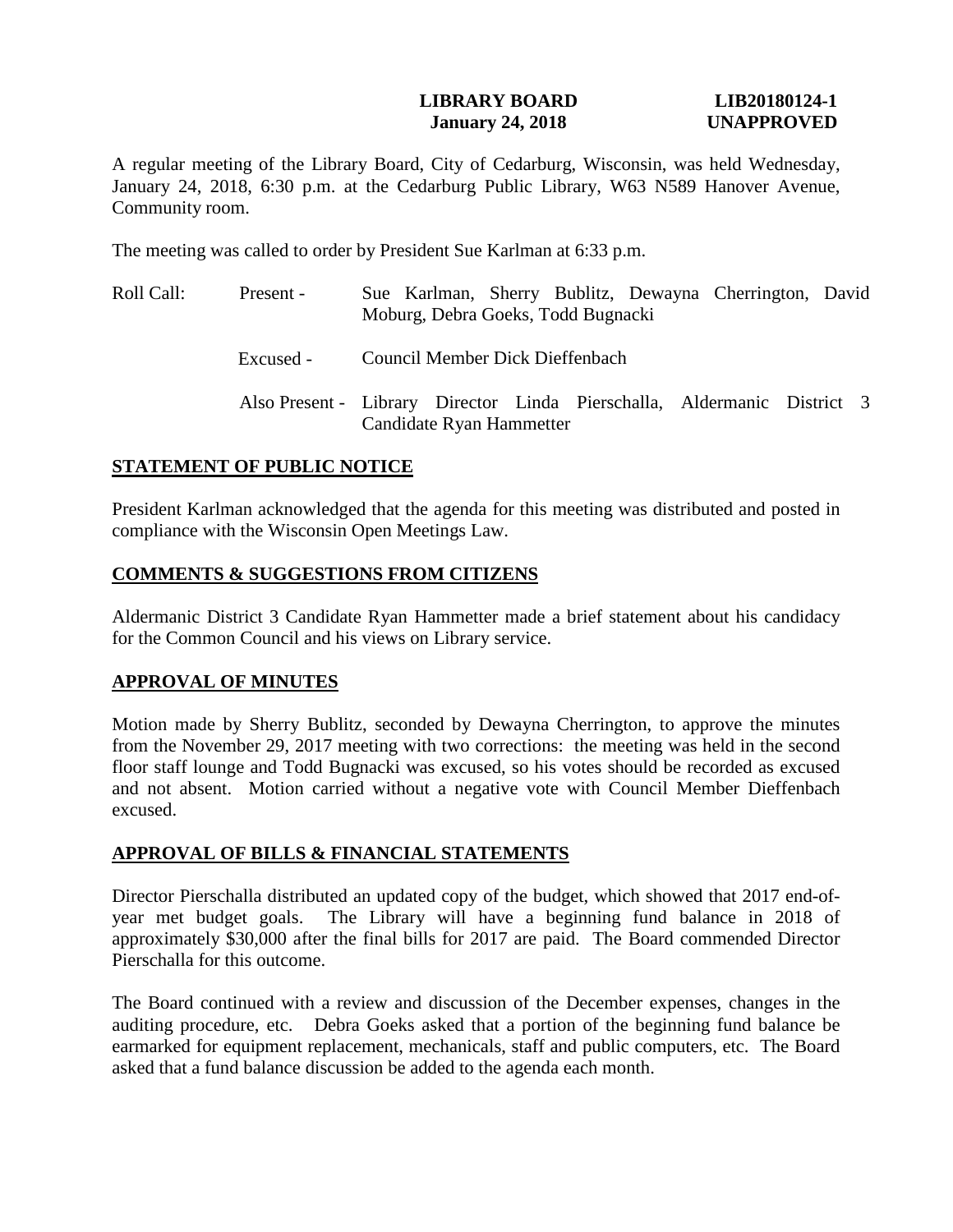## **LIBRARY BOARD LIB20180124-1 January 24, 2018 UNAPPROVED**

A regular meeting of the Library Board, City of Cedarburg, Wisconsin, was held Wednesday, January 24, 2018, 6:30 p.m. at the Cedarburg Public Library, W63 N589 Hanover Avenue, Community room.

The meeting was called to order by President Sue Karlman at 6:33 p.m.

Roll Call: Present - Excused - Sue Karlman, Sherry Bublitz, Dewayna Cherrington, David Moburg, Debra Goeks, Todd Bugnacki Council Member Dick Dieffenbach Also Present - Library Director Linda Pierschalla, Aldermanic District 3 Candidate Ryan Hammetter

# **STATEMENT OF PUBLIC NOTICE**

President Karlman acknowledged that the agenda for this meeting was distributed and posted in compliance with the Wisconsin Open Meetings Law.

# **COMMENTS & SUGGESTIONS FROM CITIZENS**

Aldermanic District 3 Candidate Ryan Hammetter made a brief statement about his candidacy for the Common Council and his views on Library service.

## **APPROVAL OF MINUTES**

Motion made by Sherry Bublitz, seconded by Dewayna Cherrington, to approve the minutes from the November 29, 2017 meeting with two corrections: the meeting was held in the second floor staff lounge and Todd Bugnacki was excused, so his votes should be recorded as excused and not absent. Motion carried without a negative vote with Council Member Dieffenbach excused.

## **APPROVAL OF BILLS & FINANCIAL STATEMENTS**

Director Pierschalla distributed an updated copy of the budget, which showed that 2017 end-ofyear met budget goals. The Library will have a beginning fund balance in 2018 of approximately \$30,000 after the final bills for 2017 are paid. The Board commended Director Pierschalla for this outcome.

The Board continued with a review and discussion of the December expenses, changes in the auditing procedure, etc. Debra Goeks asked that a portion of the beginning fund balance be earmarked for equipment replacement, mechanicals, staff and public computers, etc. The Board asked that a fund balance discussion be added to the agenda each month.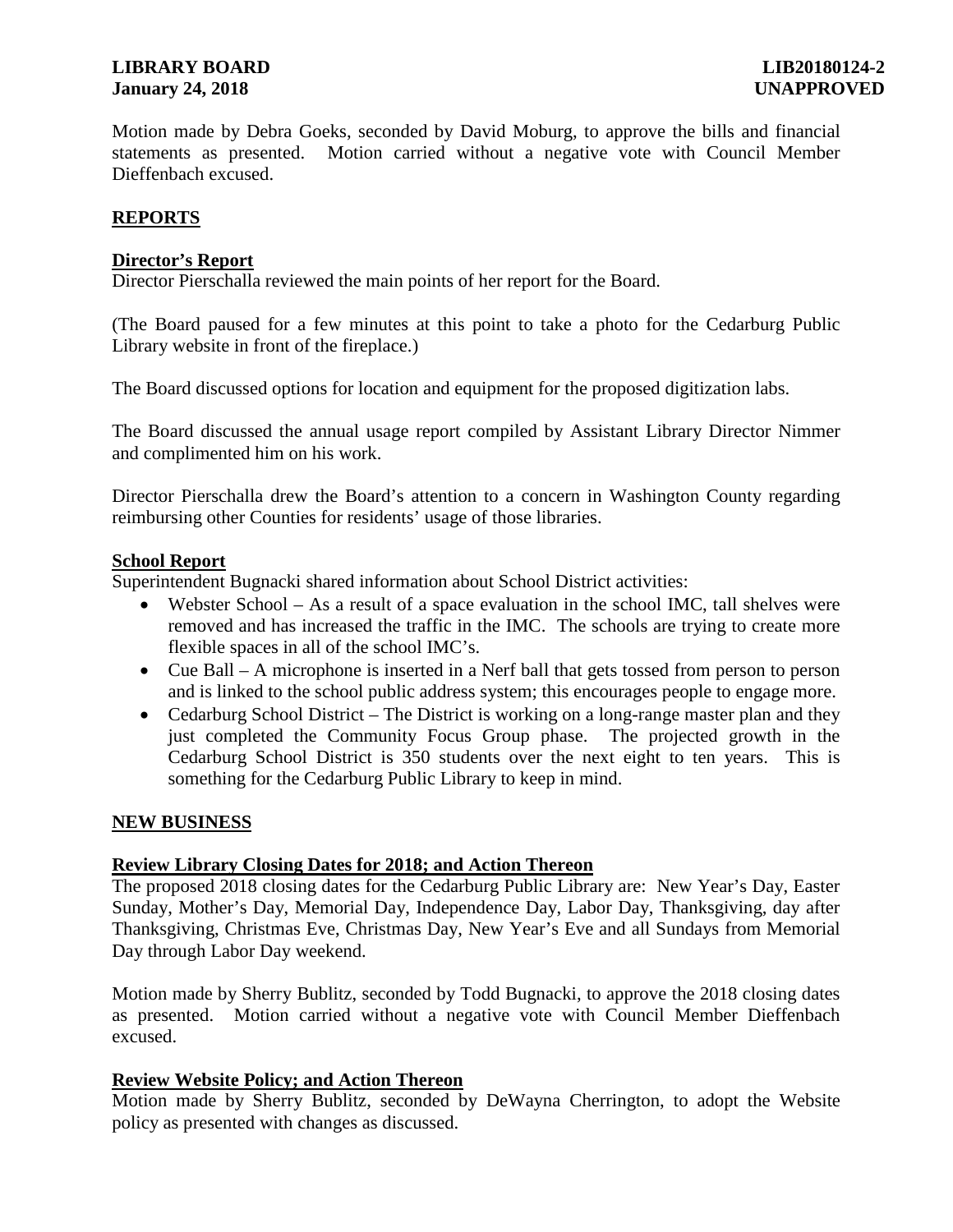# **LIBRARY BOARD LIB20180124-2 January 24, 2018 UNAPPROVED**

Motion made by Debra Goeks, seconded by David Moburg, to approve the bills and financial statements as presented. Motion carried without a negative vote with Council Member Dieffenbach excused.

# **REPORTS**

# **Director's Report**

Director Pierschalla reviewed the main points of her report for the Board.

(The Board paused for a few minutes at this point to take a photo for the Cedarburg Public Library website in front of the fireplace.)

The Board discussed options for location and equipment for the proposed digitization labs.

The Board discussed the annual usage report compiled by Assistant Library Director Nimmer and complimented him on his work.

Director Pierschalla drew the Board's attention to a concern in Washington County regarding reimbursing other Counties for residents' usage of those libraries.

## **School Report**

Superintendent Bugnacki shared information about School District activities:

- Webster School As a result of a space evaluation in the school IMC, tall shelves were removed and has increased the traffic in the IMC. The schools are trying to create more flexible spaces in all of the school IMC's.
- Cue Ball A microphone is inserted in a Nerf ball that gets tossed from person to person and is linked to the school public address system; this encourages people to engage more.
- Cedarburg School District The District is working on a long-range master plan and they just completed the Community Focus Group phase. The projected growth in the Cedarburg School District is 350 students over the next eight to ten years. This is something for the Cedarburg Public Library to keep in mind.

# **NEW BUSINESS**

## **Review Library Closing Dates for 2018; and Action Thereon**

The proposed 2018 closing dates for the Cedarburg Public Library are: New Year's Day, Easter Sunday, Mother's Day, Memorial Day, Independence Day, Labor Day, Thanksgiving, day after Thanksgiving, Christmas Eve, Christmas Day, New Year's Eve and all Sundays from Memorial Day through Labor Day weekend.

Motion made by Sherry Bublitz, seconded by Todd Bugnacki, to approve the 2018 closing dates as presented. Motion carried without a negative vote with Council Member Dieffenbach excused.

## **Review Website Policy; and Action Thereon**

Motion made by Sherry Bublitz, seconded by DeWayna Cherrington, to adopt the Website policy as presented with changes as discussed.